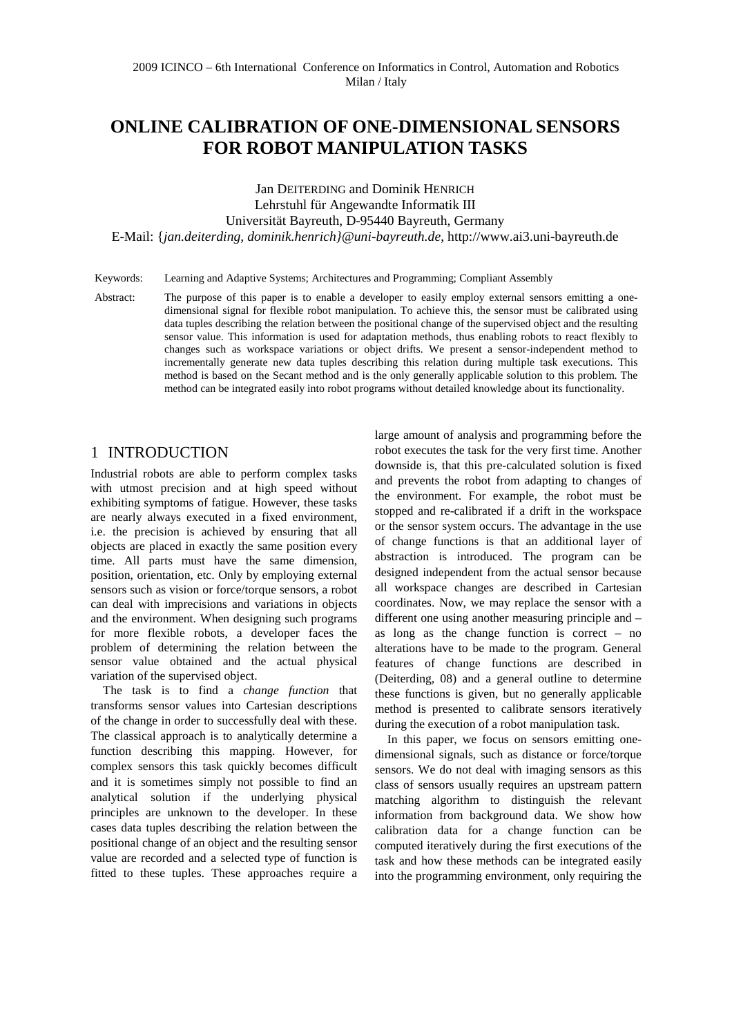# **ONLINE CALIBRATION OF ONE-DIMENSIONAL SENSORS FOR ROBOT MANIPULATION TASKS**

Jan DEITERDING and Dominik HENRICH Lehrstuhl für Angewandte Informatik III Universität Bayreuth, D-95440 Bayreuth, Germany E-Mail: {*jan.deiterding, dominik.henrich}@uni-bayreuth.de*, http://www.ai3.uni-bayreuth.de

#### Keywords: Learning and Adaptive Systems; Architectures and Programming; Compliant Assembly

Abstract: The purpose of this paper is to enable a developer to easily employ external sensors emitting a onedimensional signal for flexible robot manipulation. To achieve this, the sensor must be calibrated using data tuples describing the relation between the positional change of the supervised object and the resulting sensor value. This information is used for adaptation methods, thus enabling robots to react flexibly to changes such as workspace variations or object drifts. We present a sensor-independent method to incrementally generate new data tuples describing this relation during multiple task executions. This method is based on the Secant method and is the only generally applicable solution to this problem. The method can be integrated easily into robot programs without detailed knowledge about its functionality.

## 1 INTRODUCTION

Industrial robots are able to perform complex tasks with utmost precision and at high speed without exhibiting symptoms of fatigue. However, these tasks are nearly always executed in a fixed environment, i.e. the precision is achieved by ensuring that all objects are placed in exactly the same position every time. All parts must have the same dimension, position, orientation, etc. Only by employing external sensors such as vision or force/torque sensors, a robot can deal with imprecisions and variations in objects and the environment. When designing such programs for more flexible robots, a developer faces the problem of determining the relation between the sensor value obtained and the actual physical variation of the supervised object.

The task is to find a *change function* that transforms sensor values into Cartesian descriptions of the change in order to successfully deal with these. The classical approach is to analytically determine a function describing this mapping. However, for complex sensors this task quickly becomes difficult and it is sometimes simply not possible to find an analytical solution if the underlying physical principles are unknown to the developer. In these cases data tuples describing the relation between the positional change of an object and the resulting sensor value are recorded and a selected type of function is fitted to these tuples. These approaches require a large amount of analysis and programming before the robot executes the task for the very first time. Another downside is, that this pre-calculated solution is fixed and prevents the robot from adapting to changes of the environment. For example, the robot must be stopped and re-calibrated if a drift in the workspace or the sensor system occurs. The advantage in the use of change functions is that an additional layer of abstraction is introduced. The program can be designed independent from the actual sensor because all workspace changes are described in Cartesian coordinates. Now, we may replace the sensor with a different one using another measuring principle and – as long as the change function is correct – no alterations have to be made to the program. General features of change functions are described in (Deiterding, 08) and a general outline to determine these functions is given, but no generally applicable method is presented to calibrate sensors iteratively during the execution of a robot manipulation task.

In this paper, we focus on sensors emitting onedimensional signals, such as distance or force/torque sensors. We do not deal with imaging sensors as this class of sensors usually requires an upstream pattern matching algorithm to distinguish the relevant information from background data. We show how calibration data for a change function can be computed iteratively during the first executions of the task and how these methods can be integrated easily into the programming environment, only requiring the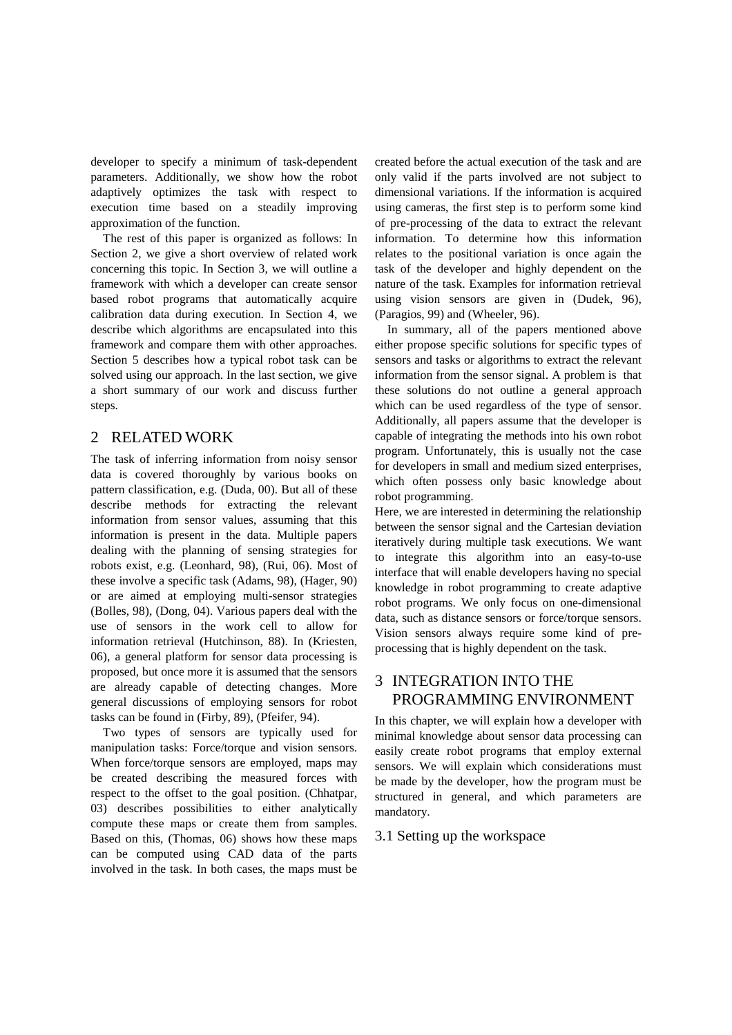developer to specify a minimum of task-dependent parameters. Additionally, we show how the robot adaptively optimizes the task with respect to execution time based on a steadily improving approximation of the function.

The rest of this paper is organized as follows: In Section 2, we give a short overview of related work concerning this topic. In Section 3, we will outline a framework with which a developer can create sensor based robot programs that automatically acquire calibration data during execution. In Section 4, we describe which algorithms are encapsulated into this framework and compare them with other approaches. Section 5 describes how a typical robot task can be solved using our approach. In the last section, we give a short summary of our work and discuss further steps.

## 2 RELATED WORK

The task of inferring information from noisy sensor data is covered thoroughly by various books on pattern classification, e.g. (Duda, 00). But all of these describe methods for extracting the relevant information from sensor values, assuming that this information is present in the data. Multiple papers dealing with the planning of sensing strategies for robots exist, e.g. (Leonhard, 98), (Rui, 06). Most of these involve a specific task (Adams, 98), (Hager, 90) or are aimed at employing multi-sensor strategies (Bolles, 98), (Dong, 04). Various papers deal with the use of sensors in the work cell to allow for information retrieval (Hutchinson, 88). In (Kriesten, 06), a general platform for sensor data processing is proposed, but once more it is assumed that the sensors are already capable of detecting changes. More general discussions of employing sensors for robot tasks can be found in (Firby, 89), (Pfeifer, 94).

Two types of sensors are typically used for manipulation tasks: Force/torque and vision sensors. When force/torque sensors are employed, maps may be created describing the measured forces with respect to the offset to the goal position. (Chhatpar, 03) describes possibilities to either analytically compute these maps or create them from samples. Based on this, (Thomas, 06) shows how these maps can be computed using CAD data of the parts involved in the task. In both cases, the maps must be

created before the actual execution of the task and are only valid if the parts involved are not subject to dimensional variations. If the information is acquired using cameras, the first step is to perform some kind of pre-processing of the data to extract the relevant information. To determine how this information relates to the positional variation is once again the task of the developer and highly dependent on the nature of the task. Examples for information retrieval using vision sensors are given in (Dudek, 96), (Paragios, 99) and (Wheeler, 96).

In summary, all of the papers mentioned above either propose specific solutions for specific types of sensors and tasks or algorithms to extract the relevant information from the sensor signal. A problem is that these solutions do not outline a general approach which can be used regardless of the type of sensor. Additionally, all papers assume that the developer is capable of integrating the methods into his own robot program. Unfortunately, this is usually not the case for developers in small and medium sized enterprises, which often possess only basic knowledge about robot programming.

Here, we are interested in determining the relationship between the sensor signal and the Cartesian deviation iteratively during multiple task executions. We want to integrate this algorithm into an easy-to-use interface that will enable developers having no special knowledge in robot programming to create adaptive robot programs. We only focus on one-dimensional data, such as distance sensors or force/torque sensors. Vision sensors always require some kind of preprocessing that is highly dependent on the task.

# 3 INTEGRATION INTO THE PROGRAMMING ENVIRONMENT

In this chapter, we will explain how a developer with minimal knowledge about sensor data processing can easily create robot programs that employ external sensors. We will explain which considerations must be made by the developer, how the program must be structured in general, and which parameters are mandatory.

#### 3.1 Setting up the workspace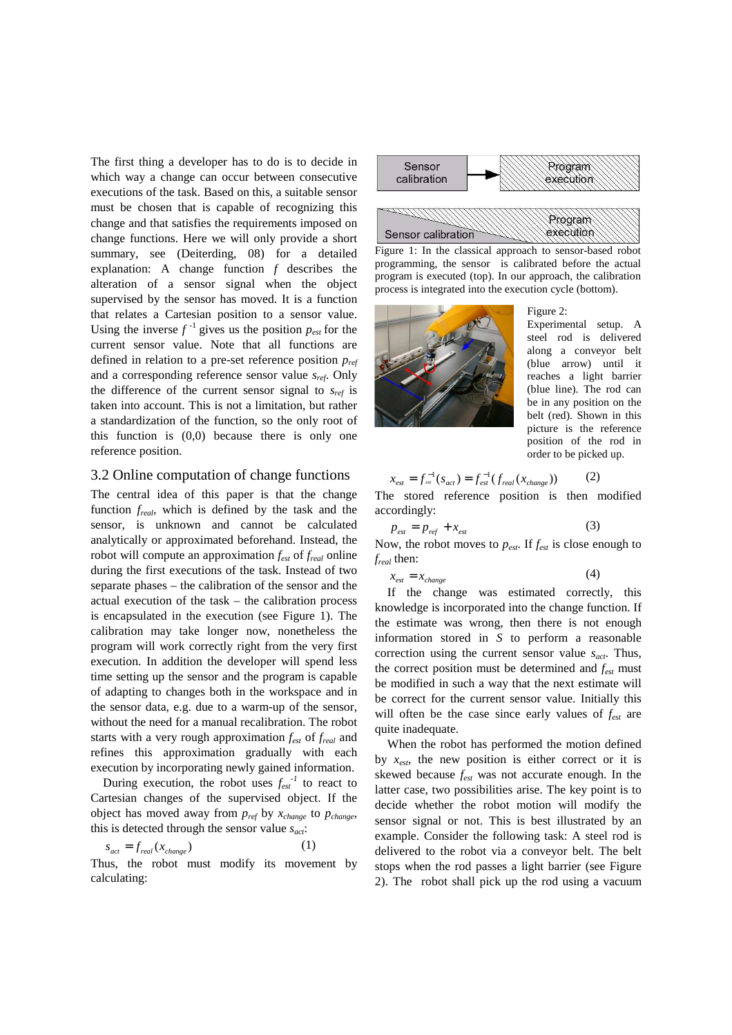The first thing a developer has to do is to decide in which way a change can occur between consecutive executions of the task. Based on this, a suitable sensor must be chosen that is capable of recognizing this change and that satisfies the requirements imposed on change functions. Here we will only provide a short summary, see (Deiterding, 08) for a detailed explanation: A change function *f* describes the alteration of a sensor signal when the object supervised by the sensor has moved. It is a function that relates a Cartesian position to a sensor value. Using the inverse  $f^{-1}$  gives us the position  $p_{est}$  for the current sensor value. Note that all functions are defined in relation to a pre-set reference position *pref* and a corresponding reference sensor value *sref*. Only the difference of the current sensor signal to *sref* is taken into account. This is not a limitation, but rather a standardization of the function, so the only root of this function is (0,0) because there is only one reference position.

#### 3.2 Online computation of change functions

The central idea of this paper is that the change function *freal*, which is defined by the task and the sensor, is unknown and cannot be calculated analytically or approximated beforehand. Instead, the robot will compute an approximation *fest* of *freal* online during the first executions of the task. Instead of two separate phases – the calibration of the sensor and the actual execution of the task – the calibration process is encapsulated in the execution (see Figure 1). The calibration may take longer now, nonetheless the program will work correctly right from the very first execution. In addition the developer will spend less time setting up the sensor and the program is capable of adapting to changes both in the workspace and in the sensor data, e.g. due to a warm-up of the sensor, without the need for a manual recalibration. The robot starts with a very rough approximation *fest* of *freal* and refines this approximation gradually with each execution by incorporating newly gained information.

During execution, the robot uses  $f_{est}^{-1}$  to react to Cartesian changes of the supervised object. If the object has moved away from *pref* by *xchange* to *pchange*, this is detected through the sensor value *sact*:

$$
s_{act} = f_{real}(x_{change})
$$
 (1)

Thus, the robot must modify its movement by calculating:



Figure 1: In the classical approach to sensor-based robot programming, the sensor is calibrated before the actual program is executed (top). In our approach, the calibration process is integrated into the execution cycle (bottom).



Figure 2: Experimental setup. A steel rod is delivered along a conveyor belt (blue arrow) until it reaches a light barrier (blue line). The rod can be in any position on the belt (red). Shown in this picture is the reference position of the rod in order to be picked up.

$$
x_{est} = f_{est}^{-1}(s_{act}) = f_{est}^{-1}(f_{real}(x_{change}))
$$
 (2)

The stored reference position is then modified accordingly:

$$
p_{est} = p_{ref} + x_{est} \tag{3}
$$

Now, the robot moves to *pest*. If *fest* is close enough to *freal* then:

$$
x_{est} = x_{change} \tag{4}
$$

If the change was estimated correctly, this knowledge is incorporated into the change function. If the estimate was wrong, then there is not enough information stored in *S* to perform a reasonable correction using the current sensor value *sact*. Thus, the correct position must be determined and *fest* must be modified in such a way that the next estimate will be correct for the current sensor value. Initially this will often be the case since early values of *fest* are quite inadequate.

When the robot has performed the motion defined by  $x_{est}$ , the new position is either correct or it is skewed because *fest* was not accurate enough. In the latter case, two possibilities arise. The key point is to decide whether the robot motion will modify the sensor signal or not. This is best illustrated by an example. Consider the following task: A steel rod is delivered to the robot via a conveyor belt. The belt stops when the rod passes a light barrier (see Figure 2). The robot shall pick up the rod using a vacuum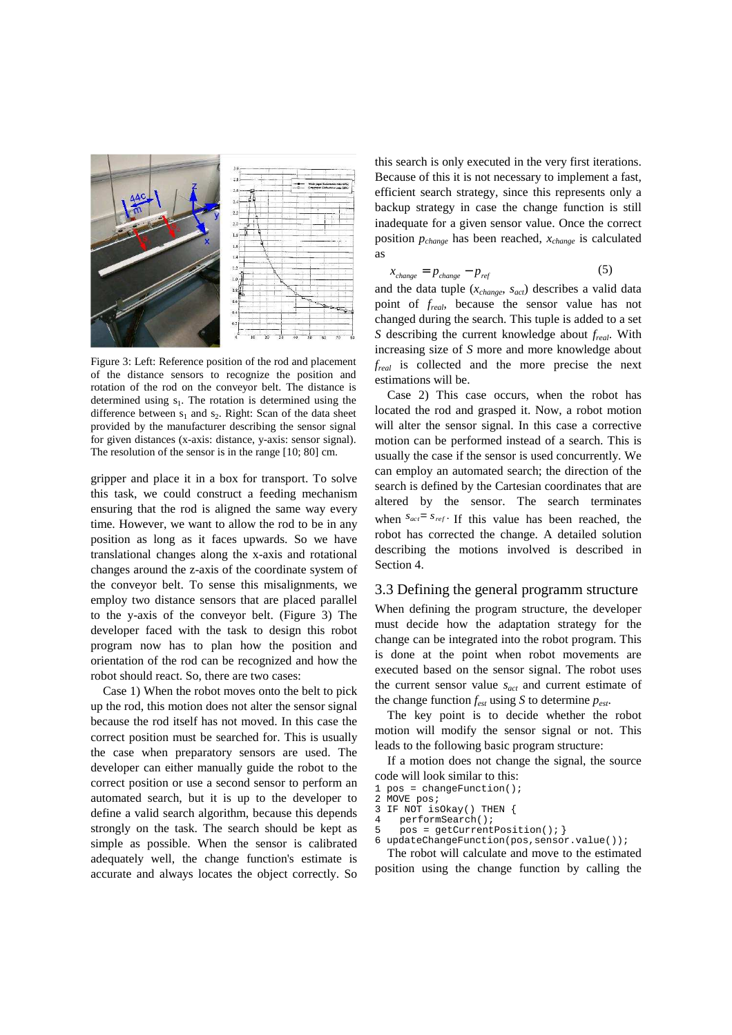

Figure 3: Left: Reference position of the rod and placement of the distance sensors to recognize the position and rotation of the rod on the conveyor belt. The distance is determined using  $s_1$ . The rotation is determined using the difference between  $s_1$  and  $s_2$ . Right: Scan of the data sheet provided by the manufacturer describing the sensor signal for given distances (x-axis: distance, y-axis: sensor signal). The resolution of the sensor is in the range [10; 80] cm.

gripper and place it in a box for transport. To solve this task, we could construct a feeding mechanism ensuring that the rod is aligned the same way every time. However, we want to allow the rod to be in any position as long as it faces upwards. So we have translational changes along the x-axis and rotational changes around the z-axis of the coordinate system of the conveyor belt. To sense this misalignments, we employ two distance sensors that are placed parallel to the y-axis of the conveyor belt. (Figure 3) The developer faced with the task to design this robot program now has to plan how the position and orientation of the rod can be recognized and how the robot should react. So, there are two cases:

Case 1) When the robot moves onto the belt to pick up the rod, this motion does not alter the sensor signal because the rod itself has not moved. In this case the correct position must be searched for. This is usually the case when preparatory sensors are used. The developer can either manually guide the robot to the correct position or use a second sensor to perform an automated search, but it is up to the developer to define a valid search algorithm, because this depends strongly on the task. The search should be kept as simple as possible. When the sensor is calibrated adequately well, the change function's estimate is accurate and always locates the object correctly. So

this search is only executed in the very first iterations. Because of this it is not necessary to implement a fast, efficient search strategy, since this represents only a backup strategy in case the change function is still inadequate for a given sensor value. Once the correct position *pchange* has been reached, *xchange* is calculated as

$$
x_{change} = p_{change} - p_{ref}
$$
 (5)

and the data tuple (*xchange*, *sact*) describes a valid data point of *freal*, because the sensor value has not changed during the search. This tuple is added to a set *S* describing the current knowledge about *freal*. With increasing size of *S* more and more knowledge about *freal* is collected and the more precise the next estimations will be.

 Case 2) This case occurs, when the robot has located the rod and grasped it. Now, a robot motion will alter the sensor signal. In this case a corrective motion can be performed instead of a search. This is usually the case if the sensor is used concurrently. We can employ an automated search; the direction of the search is defined by the Cartesian coordinates that are altered by the sensor. The search terminates when  $S_{act} = S_{ref}$ . If this value has been reached, the robot has corrected the change. A detailed solution describing the motions involved is described in Section 4.

#### 3.3 Defining the general programm structure

When defining the program structure, the developer must decide how the adaptation strategy for the change can be integrated into the robot program. This is done at the point when robot movements are executed based on the sensor signal. The robot uses the current sensor value *sact* and current estimate of the change function  $f_{est}$  using  $S$  to determine  $p_{est}$ .

The key point is to decide whether the robot motion will modify the sensor signal or not. This leads to the following basic program structure:

If a motion does not change the signal, the source code will look similar to this:

- 1 pos = changeFunction();
- 2 MOVE pos;
- 3 IF NOT isOkay() THEN { 4 performSearch();
- 5 pos = getCurrentPosition(); }
- 6 updateChangeFunction(pos,sensor.value());

The robot will calculate and move to the estimated position using the change function by calling the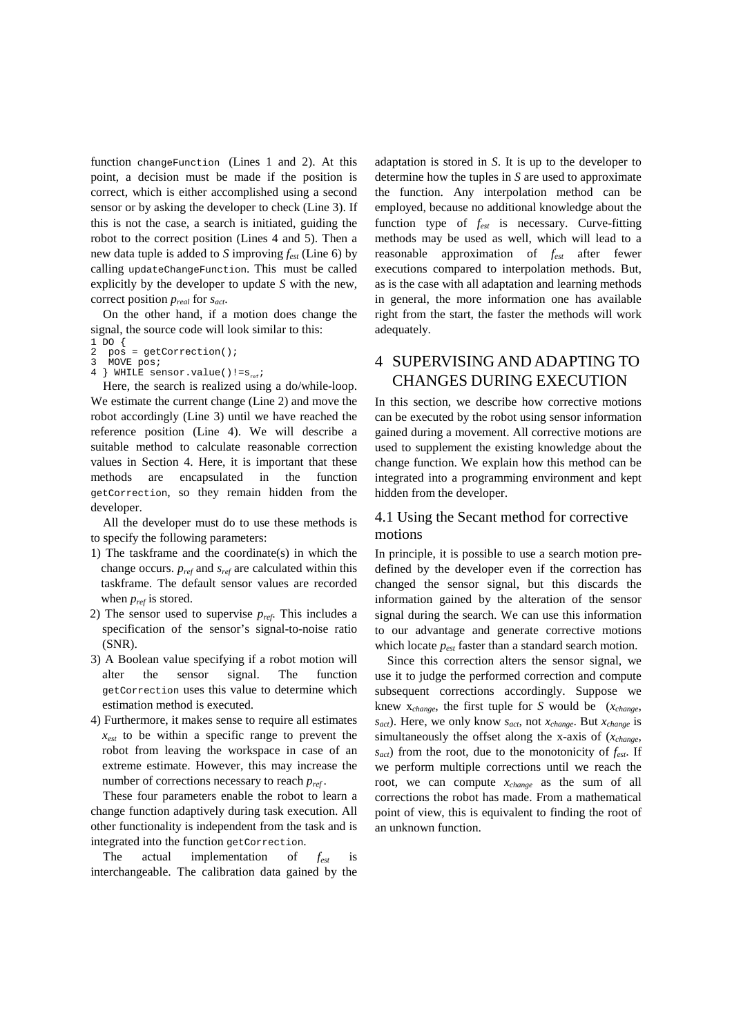function changeFunction (Lines 1 and 2). At this point, a decision must be made if the position is correct, which is either accomplished using a second sensor or by asking the developer to check (Line 3). If this is not the case, a search is initiated, guiding the robot to the correct position (Lines 4 and 5). Then a new data tuple is added to *S* improving *fest* (Line 6) by calling updateChangeFunction. This must be called explicitly by the developer to update *S* with the new, correct position *preal* for *sact*.

On the other hand, if a motion does change the signal, the source code will look similar to this:

- $1$  DO {
- 2 pos = getCorrection(); **MOVE** pos;
- $\frac{1}{4}$  WHILE sensor.value()!=s<sub>re</sub>;

Here, the search is realized using a do/while-loop. We estimate the current change (Line 2) and move the robot accordingly (Line 3) until we have reached the reference position (Line 4). We will describe a suitable method to calculate reasonable correction values in Section 4. Here, it is important that these methods are encapsulated in the function getCorrection, so they remain hidden from the developer.

All the developer must do to use these methods is to specify the following parameters:

- 1) The taskframe and the coordinate(s) in which the change occurs. *pref* and *sref* are calculated within this taskframe. The default sensor values are recorded when  $p_{ref}$  is stored.
- 2) The sensor used to supervise *pref*. This includes a specification of the sensor's signal-to-noise ratio (SNR).
- 3) A Boolean value specifying if a robot motion will alter the sensor signal. The function getCorrection uses this value to determine which estimation method is executed.
- 4) Furthermore, it makes sense to require all estimates *xest* to be within a specific range to prevent the robot from leaving the workspace in case of an extreme estimate. However, this may increase the number of corrections necessary to reach *pref* .

These four parameters enable the robot to learn a change function adaptively during task execution. All other functionality is independent from the task and is integrated into the function getCorrection.

The actual implementation of *fest* is interchangeable. The calibration data gained by the

adaptation is stored in *S*. It is up to the developer to determine how the tuples in *S* are used to approximate the function. Any interpolation method can be employed, because no additional knowledge about the function type of  $f_{\text{ext}}$  is necessary. Curve-fitting methods may be used as well, which will lead to a reasonable approximation of *fest* after fewer executions compared to interpolation methods. But, as is the case with all adaptation and learning methods in general, the more information one has available right from the start, the faster the methods will work adequately.

# 4 SUPERVISING AND ADAPTING TO CHANGES DURING EXECUTION

In this section, we describe how corrective motions can be executed by the robot using sensor information gained during a movement. All corrective motions are used to supplement the existing knowledge about the change function. We explain how this method can be integrated into a programming environment and kept hidden from the developer.

#### 4.1 Using the Secant method for corrective motions

In principle, it is possible to use a search motion predefined by the developer even if the correction has changed the sensor signal, but this discards the information gained by the alteration of the sensor signal during the search. We can use this information to our advantage and generate corrective motions which locate *pest* faster than a standard search motion.

Since this correction alters the sensor signal, we use it to judge the performed correction and compute subsequent corrections accordingly. Suppose we knew x*change*, the first tuple for *S* would be (*xchange*, *sact*). Here, we only know *sact*, not *xchange*. But *xchange* is simultaneously the offset along the x-axis of (*xchange*, *sact*) from the root, due to the monotonicity of *fest*. If we perform multiple corrections until we reach the root, we can compute *xchange* as the sum of all corrections the robot has made. From a mathematical point of view, this is equivalent to finding the root of an unknown function.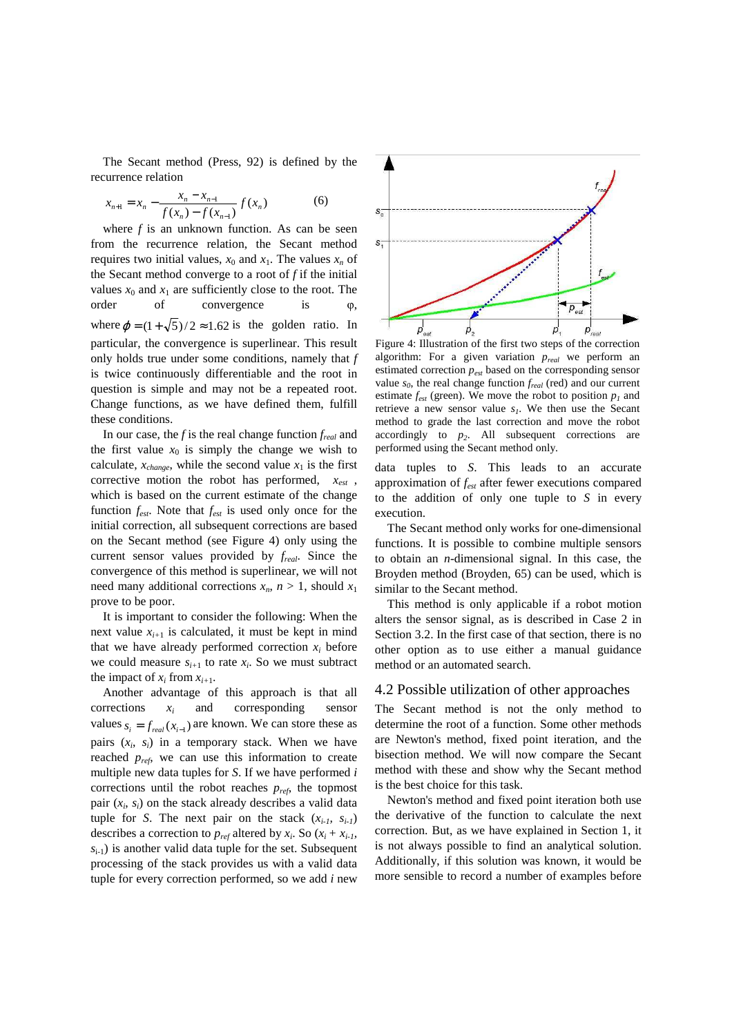The Secant method (Press, 92) is defined by the recurrence relation

$$
x_{n+1} = x_n - \frac{x_n - x_{n-1}}{f(x_n) - f(x_{n-1})} f(x_n)
$$
 (6)

where *f* is an unknown function. As can be seen from the recurrence relation, the Secant method requires two initial values,  $x_0$  and  $x_1$ . The values  $x_n$  of the Secant method converge to a root of *f* if the initial values  $x_0$  and  $x_1$  are sufficiently close to the root. The order of convergence is φ, where  $\varphi = (1 + \sqrt{5})/2 \approx 1.62$  is the golden ratio. In particular, the convergence is superlinear. This result only holds true under some conditions, namely that *f* is twice continuously differentiable and the root in question is simple and may not be a repeated root. Change functions, as we have defined them, fulfill these conditions.

In our case, the *f* is the real change function *freal* and the first value  $x_0$  is simply the change we wish to calculate,  $x_{change}$ , while the second value  $x_1$  is the first corrective motion the robot has performed, *xest* , which is based on the current estimate of the change function *fest*. Note that *fest* is used only once for the initial correction, all subsequent corrections are based on the Secant method (see Figure 4) only using the current sensor values provided by *freal*. Since the convergence of this method is superlinear, we will not need many additional corrections  $x_n$ ,  $n > 1$ , should  $x_1$ prove to be poor.

It is important to consider the following: When the next value  $x_{i+1}$  is calculated, it must be kept in mind that we have already performed correction  $x_i$  before we could measure  $s_{i+1}$  to rate  $x_i$ . So we must subtract the impact of  $x_i$  from  $x_{i+1}$ .

Another advantage of this approach is that all corrections *x<sup>i</sup>* and corresponding sensor values  $s_i = f_{real}(x_{i-1})$  are known. We can store these as pairs  $(x_i, s_i)$  in a temporary stack. When we have reached *pref*, we can use this information to create multiple new data tuples for *S*. If we have performed *i* corrections until the robot reaches *pref*, the topmost pair  $(x_i, s_i)$  on the stack already describes a valid data tuple for *S*. The next pair on the stack  $(x_{i-1}, s_{i-1})$ describes a correction to  $p_{ref}$  altered by  $x_i$ . So  $(x_i + x_{i-1})$ ,  $s_{i-1}$ ) is another valid data tuple for the set. Subsequent processing of the stack provides us with a valid data tuple for every correction performed, so we add *i* new



Figure 4: Illustration of the first two steps of the correction algorithm: For a given variation *preal* we perform an estimated correction *pest* based on the corresponding sensor value *s<sup>0</sup>* , the real change function *freal* (red) and our current estimate  $f_{est}$  (green). We move the robot to position  $p_l$  and retrieve a new sensor value *s<sup>1</sup>* . We then use the Secant method to grade the last correction and move the robot accordingly to *p<sup>2</sup>* . All subsequent corrections are performed using the Secant method only.

data tuples to *S*. This leads to an accurate approximation of *fest* after fewer executions compared to the addition of only one tuple to *S* in every execution.

The Secant method only works for one-dimensional functions. It is possible to combine multiple sensors to obtain an *n*-dimensional signal. In this case, the Broyden method (Broyden, 65) can be used, which is similar to the Secant method.

This method is only applicable if a robot motion alters the sensor signal, as is described in Case 2 in Section 3.2. In the first case of that section, there is no other option as to use either a manual guidance method or an automated search.

#### 4.2 Possible utilization of other approaches

The Secant method is not the only method to determine the root of a function. Some other methods are Newton's method, fixed point iteration, and the bisection method. We will now compare the Secant method with these and show why the Secant method is the best choice for this task.

Newton's method and fixed point iteration both use the derivative of the function to calculate the next correction. But, as we have explained in Section 1, it is not always possible to find an analytical solution. Additionally, if this solution was known, it would be more sensible to record a number of examples before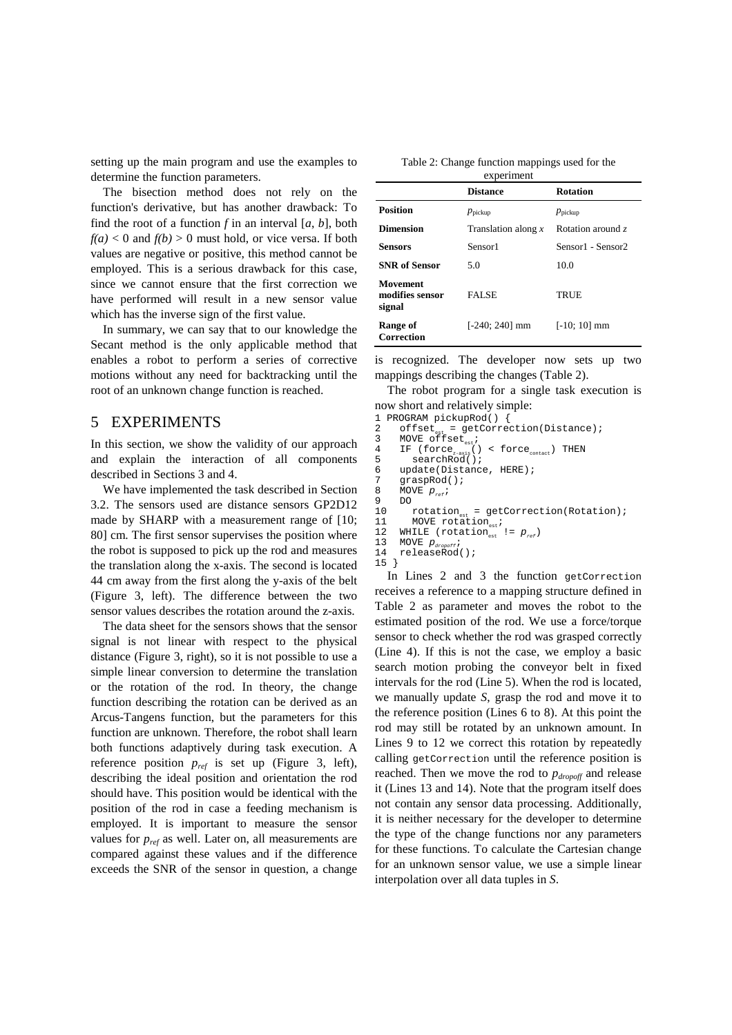setting up the main program and use the examples to determine the function parameters.

The bisection method does not rely on the function's derivative, but has another drawback: To find the root of a function *f* in an interval [*a*, *b*], both  $f(a) < 0$  and  $f(b) > 0$  must hold, or vice versa. If both values are negative or positive, this method cannot be employed. This is a serious drawback for this case, since we cannot ensure that the first correction we have performed will result in a new sensor value which has the inverse sign of the first value.

In summary, we can say that to our knowledge the Secant method is the only applicable method that enables a robot to perform a series of corrective motions without any need for backtracking until the root of an unknown change function is reached.

### 5 EXPERIMENTS

In this section, we show the validity of our approach and explain the interaction of all components described in Sections 3 and 4.

We have implemented the task described in Section 3.2. The sensors used are distance sensors GP2D12 made by SHARP with a measurement range of [10; 80] cm. The first sensor supervises the position where the robot is supposed to pick up the rod and measures the translation along the x-axis. The second is located 44 cm away from the first along the y-axis of the belt (Figure 3, left). The difference between the two sensor values describes the rotation around the z-axis.

The data sheet for the sensors shows that the sensor signal is not linear with respect to the physical distance (Figure 3, right), so it is not possible to use a simple linear conversion to determine the translation or the rotation of the rod. In theory, the change function describing the rotation can be derived as an Arcus-Tangens function, but the parameters for this function are unknown. Therefore, the robot shall learn both functions adaptively during task execution. A reference position *pref* is set up (Figure 3, left), describing the ideal position and orientation the rod should have. This position would be identical with the position of the rod in case a feeding mechanism is employed. It is important to measure the sensor values for *pref* as well. Later on, all measurements are compared against these values and if the difference exceeds the SNR of the sensor in question, a change

| Table 2: Change function mappings used for the |  |  |  |  |  |
|------------------------------------------------|--|--|--|--|--|
| experiment                                     |  |  |  |  |  |

|                                              | <b>Distance</b>       | <b>Rotation</b>     |
|----------------------------------------------|-----------------------|---------------------|
| <b>Position</b>                              | $p_{\text{pickup}}$   | $p_{\text{pickup}}$ |
| <b>Dimension</b>                             | Translation along $x$ | Rotation around z   |
| Sensors                                      | Sensor1               | Sensor1 - Sensor2   |
| <b>SNR</b> of Sensor                         | 5.0                   | 10.0                |
| <b>Movement</b><br>modifies sensor<br>signal | <b>FALSE</b>          | TRUE                |
| Range of<br>Correction                       | $[-240; 240]$ mm      | $[-10; 10]$ mm      |

is recognized. The developer now sets up two mappings describing the changes (Table 2).

The robot program for a single task execution is now short and relatively simple:

```
1 PROGRAM pickupRod() {<br>2 offset = getCorred
2 offset<sub>est</sub> = getCorrection(Distance);
3 MOVE offset<sub>est</sub>;
4 IF (force<sub>z-axis</sub>() < force<sub>contact</sub>) THEN<br>5 searchRod();
6 update(Distance, HERE);<br>7 araspRod();
7 graspRod();<br>8 MOVE p;
8 MOVE p_{ref};<br>9 DO
9 DO 
10 rotation<sub>est</sub> = getCorrection(Rotation);<br>11 MOVE rotation ;
10 rotation<sub>est</sub> = get<br>11 MOVE rotation<sub>est</sub>;<br>12 WHILE (rotation
12 WHILE (rotation<sub>est</sub> != p_{ref})<br>13 MOVE p. ..;
13 MOVE p_{\text{dropot}};<br>14 releaseRod();
15 }
```
In Lines 2 and 3 the function getCorrection receives a reference to a mapping structure defined in Table 2 as parameter and moves the robot to the estimated position of the rod. We use a force/torque sensor to check whether the rod was grasped correctly (Line 4). If this is not the case, we employ a basic search motion probing the conveyor belt in fixed intervals for the rod (Line 5). When the rod is located, we manually update *S*, grasp the rod and move it to the reference position (Lines 6 to 8). At this point the rod may still be rotated by an unknown amount. In Lines 9 to 12 we correct this rotation by repeatedly calling getCorrection until the reference position is reached. Then we move the rod to *pdropoff* and release it (Lines 13 and 14). Note that the program itself does not contain any sensor data processing. Additionally, it is neither necessary for the developer to determine the type of the change functions nor any parameters for these functions. To calculate the Cartesian change for an unknown sensor value, we use a simple linear interpolation over all data tuples in *S*.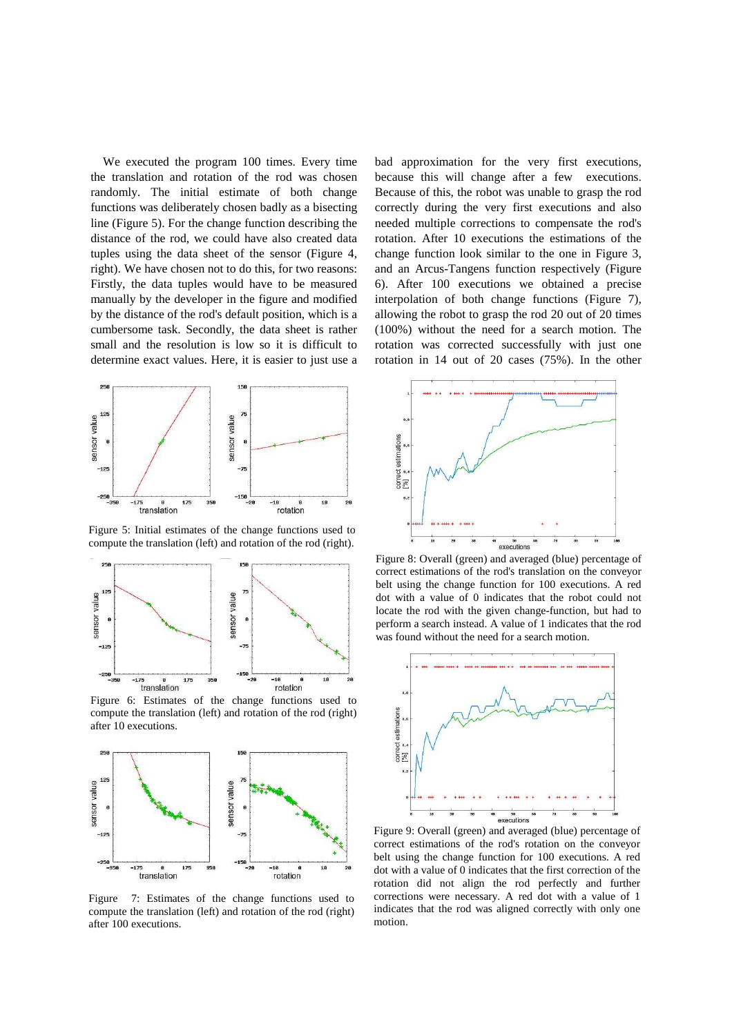We executed the program 100 times. Every time the translation and rotation of the rod was chosen randomly. The initial estimate of both change functions was deliberately chosen badly as a bisecting line (Figure 5). For the change function describing the distance of the rod, we could have also created data tuples using the data sheet of the sensor (Figure 4, right). We have chosen not to do this, for two reasons: Firstly, the data tuples would have to be measured manually by the developer in the figure and modified by the distance of the rod's default position, which is a cumbersome task. Secondly, the data sheet is rather small and the resolution is low so it is difficult to determine exact values. Here, it is easier to just use a



Figure 5: Initial estimates of the change functions used to compute the translation (left) and rotation of the rod (right).



Figure 6: Estimates of the change functions used to compute the translation (left) and rotation of the rod (right) after 10 executions.



Figure 7: Estimates of the change functions used to compute the translation (left) and rotation of the rod (right) after 100 executions.

bad approximation for the very first executions, because this will change after a few executions. Because of this, the robot was unable to grasp the rod correctly during the very first executions and also needed multiple corrections to compensate the rod's rotation. After 10 executions the estimations of the change function look similar to the one in Figure 3, and an Arcus-Tangens function respectively (Figure 6). After 100 executions we obtained a precise interpolation of both change functions (Figure 7), allowing the robot to grasp the rod 20 out of 20 times (100%) without the need for a search motion. The rotation was corrected successfully with just one rotation in 14 out of 20 cases (75%). In the other



Figure 8: Overall (green) and averaged (blue) percentage of correct estimations of the rod's translation on the conveyor belt using the change function for 100 executions. A red dot with a value of 0 indicates that the robot could not locate the rod with the given change-function, but had to perform a search instead. A value of 1 indicates that the rod was found without the need for a search motion.



Figure 9: Overall (green) and averaged (blue) percentage of correct estimations of the rod's rotation on the conveyor belt using the change function for 100 executions. A red dot with a value of 0 indicates that the first correction of the rotation did not align the rod perfectly and further corrections were necessary. A red dot with a value of 1 indicates that the rod was aligned correctly with only one motion.